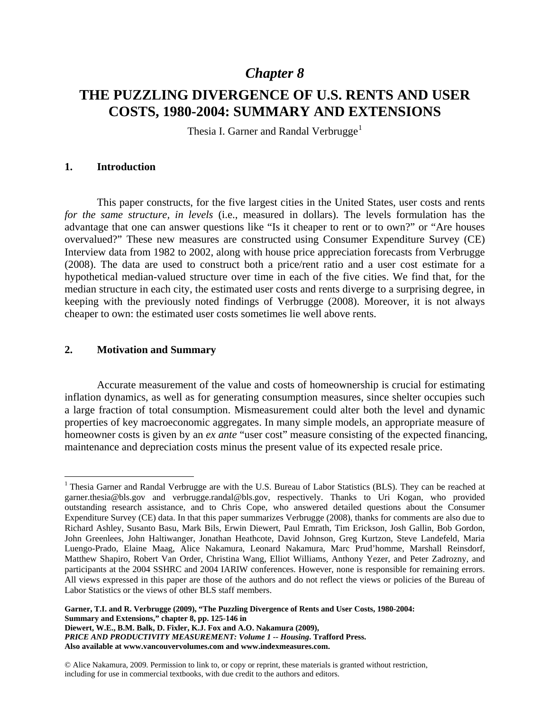## *Chapter 8*

# **THE PUZZLING DIVERGENCE OF U.S. RENTS AND USER COSTS, 1980-2004: SUMMARY AND EXTENSIONS**

Thesia I. Garner and Randal Verbrugge<sup>[1](#page-0-0)</sup>

#### **1. Introduction**

 This paper constructs, for the five largest cities in the United States, user costs and rents *for the same structure, in levels* (i.e., measured in dollars). The levels formulation has the advantage that one can answer questions like "Is it cheaper to rent or to own?" or "Are houses overvalued?" These new measures are constructed using Consumer Expenditure Survey (CE) Interview data from 1982 to 2002, along with house price appreciation forecasts from Verbrugge (2008). The data are used to construct both a price/rent ratio and a user cost estimate for a hypothetical median-valued structure over time in each of the five cities. We find that, for the median structure in each city, the estimated user costs and rents diverge to a surprising degree, in keeping with the previously noted findings of Verbrugge (2008). Moreover, it is not always cheaper to own: the estimated user costs sometimes lie well above rents.

#### **2. Motivation and Summary**

 $\overline{a}$ 

 Accurate measurement of the value and costs of homeownership is crucial for estimating inflation dynamics, as well as for generating consumption measures, since shelter occupies such a large fraction of total consumption. Mismeasurement could alter both the level and dynamic properties of key macroeconomic aggregates. In many simple models, an appropriate measure of homeowner costs is given by an *ex ante* "user cost" measure consisting of the expected financing, maintenance and depreciation costs minus the present value of its expected resale price.

<span id="page-0-0"></span><sup>&</sup>lt;sup>1</sup> Thesia Garner and Randal Verbrugge are with the U.S. Bureau of Labor Statistics (BLS). They can be reached at garner.thesia@bls.gov and verbrugge.randal@bls.gov, respectively. Thanks to Uri Kogan, who provided outstanding research assistance, and to Chris Cope, who answered detailed questions about the Consumer Expenditure Survey (CE) data. In that this paper summarizes Verbrugge (2008), thanks for comments are also due to Richard Ashley, Susanto Basu, Mark Bils, Erwin Diewert, Paul Emrath, Tim Erickson, Josh Gallin, Bob Gordon, John Greenlees, John Haltiwanger, Jonathan Heathcote, David Johnson, Greg Kurtzon, Steve Landefeld, Maria Luengo-Prado, Elaine Maag, Alice Nakamura, Leonard Nakamura, Marc Prud'homme, Marshall Reinsdorf, Matthew Shapiro, Robert Van Order, Christina Wang, Elliot Williams, Anthony Yezer, and Peter Zadrozny, and participants at the 2004 SSHRC and 2004 IARIW conferences. However, none is responsible for remaining errors. All views expressed in this paper are those of the authors and do not reflect the views or policies of the Bureau of Labor Statistics or the views of other BLS staff members.

**Garner, T.I. and R. Verbrugge (2009), "The Puzzling Divergence of Rents and User Costs, 1980-2004: Summary and Extensions," chapter 8, pp. 125-146 in Diewert, W.E., B.M. Balk, D. Fixler, K.J. Fox and A.O. Nakamura (2009),**  *PRICE AND PRODUCTIVITY MEASUREMENT: Volume 1 -- Housing***. Trafford Press. Also available at www.vancouvervolumes.com and www.indexmeasures.com.** 

<sup>©</sup> Alice Nakamura, 2009. Permission to link to, or copy or reprint, these materials is granted without restriction, including for use in commercial textbooks, with due credit to the authors and editors.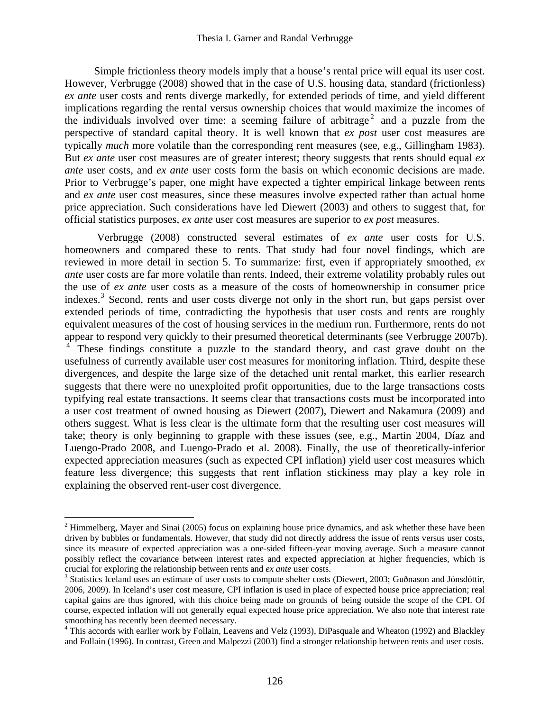Simple frictionless theory models imply that a house's rental price will equal its user cost. However, Verbrugge (2008) showed that in the case of U.S. housing data, standard (frictionless) *ex ante* user costs and rents diverge markedly, for extended periods of time, and yield different implications regarding the rental versus ownership choices that would maximize the incomes of the individuals involved over time: a seeming failure of arbitrage<sup>[2](#page-1-0)</sup> and a puzzle from the perspective of standard capital theory. It is well known that *ex post* user cost measures are typically *much* more volatile than the corresponding rent measures (see, e.g., Gillingham 1983). But *ex ante* user cost measures are of greater interest; theory suggests that rents should equal *ex ante* user costs, and *ex ante* user costs form the basis on which economic decisions are made. Prior to Verbrugge's paper, one might have expected a tighter empirical linkage between rents and *ex ante* user cost measures, since these measures involve expected rather than actual home price appreciation. Such considerations have led Diewert (2003) and others to suggest that, for official statistics purposes, *ex ante* user cost measures are superior to *ex post* measures.

Verbrugge (2008) constructed several estimates of *ex ante* user costs for U.S. homeowners and compared these to rents. That study had four novel findings, which are reviewed in more detail in section 5. To summarize: first, even if appropriately smoothed, *ex ante* user costs are far more volatile than rents. Indeed, their extreme volatility probably rules out the use of *ex ante* user costs as a measure of the costs of homeownership in consumer price indexes.[3](#page-1-1) Second, rents and user costs diverge not only in the short run, but gaps persist over extended periods of time, contradicting the hypothesis that user costs and rents are roughly equivalent measures of the cost of housing services in the medium run. Furthermore, rents do not appear to respond very quickly to their presumed theoretical determinants (see Verbrugge 2007b).

These findings constitute a puzzle to the standard theory, and cast grave doubt on the usefulness of currently available user cost measures for monitoring inflation. Third, despite these divergences, and despite the large size of the detached unit rental market, this earlier research suggests that there were no unexploited profit opportunities, due to the large transactions costs typifying real estate transactions. It seems clear that transactions costs must be incorporated into a user cost treatment of owned housing as Diewert (2007), Diewert and Nakamura (2009) and others suggest. What is less clear is the ultimate form that the resulting user cost measures will take; theory is only beginning to grapple with these issues (see, e.g., Martin 2004, Díaz and Luengo-Prado 2008, and Luengo-Prado et al. 2008). Finally, the use of theoretically-inferior expected appreciation measures (such as expected CPI inflation) yield user cost measures which feature less divergence; this suggests that rent inflation stickiness may play a key role in explaining the observed rent-user cost divergence.

<span id="page-1-0"></span> $2$ <sup>2</sup> Himmelberg, Mayer and Sinai (2005) focus on explaining house price dynamics, and ask whether these have been driven by bubbles or fundamentals. However, that study did not directly address the issue of rents versus user costs, since its measure of expected appreciation was a one-sided fifteen-year moving average. Such a measure cannot possibly reflect the covariance between interest rates and expected appreciation at higher frequencies, which is crucial for exploring the relationship between rents and *ex ante* user costs.

<span id="page-1-1"></span><sup>&</sup>lt;sup>3</sup> Statistics Iceland uses an estimate of user costs to compute shelter costs (Diewert, 2003; Guðnason and Jónsdóttir, 2006, 2009). In Iceland's user cost measure, CPI inflation is used in place of expected house price appreciation; real capital gains are thus ignored, with this choice being made on grounds of being outside the scope of the CPI. Of course, expected inflation will not generally equal expected house price appreciation. We also note that interest rate smoothing has recently been deemed necessary.

<span id="page-1-2"></span><sup>&</sup>lt;sup>4</sup> This accords with earlier work by Follain, Leavens and Velz (1993), DiPasquale and Wheaton (1992) and Blackley and Follain (1996). In contrast, Green and Malpezzi (2003) find a stronger relationship between rents and user costs.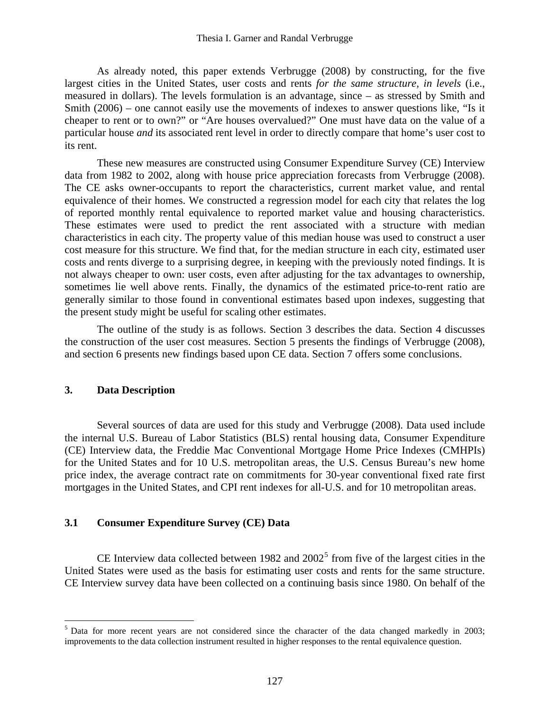As already noted, this paper extends Verbrugge (2008) by constructing, for the five largest cities in the United States, user costs and rents *for the same structure, in levels* (i.e., measured in dollars). The levels formulation is an advantage, since – as stressed by Smith and Smith (2006) – one cannot easily use the movements of indexes to answer questions like, "Is it cheaper to rent or to own?" or "Are houses overvalued?" One must have data on the value of a particular house *and* its associated rent level in order to directly compare that home's user cost to its rent.

 These new measures are constructed using Consumer Expenditure Survey (CE) Interview data from 1982 to 2002, along with house price appreciation forecasts from Verbrugge (2008). The CE asks owner-occupants to report the characteristics, current market value, and rental equivalence of their homes. We constructed a regression model for each city that relates the log of reported monthly rental equivalence to reported market value and housing characteristics. These estimates were used to predict the rent associated with a structure with median characteristics in each city. The property value of this median house was used to construct a user cost measure for this structure. We find that, for the median structure in each city, estimated user costs and rents diverge to a surprising degree, in keeping with the previously noted findings. It is not always cheaper to own: user costs, even after adjusting for the tax advantages to ownership, sometimes lie well above rents. Finally, the dynamics of the estimated price-to-rent ratio are generally similar to those found in conventional estimates based upon indexes, suggesting that the present study might be useful for scaling other estimates.

 The outline of the study is as follows. Section 3 describes the data. Section 4 discusses the construction of the user cost measures. Section 5 presents the findings of Verbrugge (2008), and section 6 presents new findings based upon CE data. Section 7 offers some conclusions.

### **3. Data Description**

 $\overline{a}$ 

 Several sources of data are used for this study and Verbrugge (2008). Data used include the internal U.S. Bureau of Labor Statistics (BLS) rental housing data, Consumer Expenditure (CE) Interview data, the Freddie Mac Conventional Mortgage Home Price Indexes (CMHPIs) for the United States and for 10 U.S. metropolitan areas, the U.S. Census Bureau's new home price index, the average contract rate on commitments for 30-year conventional fixed rate first mortgages in the United States, and CPI rent indexes for all-U.S. and for 10 metropolitan areas.

### **3.1 Consumer Expenditure Survey (CE) Data**

CE Interview data collected between 1982 and  $2002<sup>5</sup>$  $2002<sup>5</sup>$  $2002<sup>5</sup>$  from five of the largest cities in the United States were used as the basis for estimating user costs and rents for the same structure. CE Interview survey data have been collected on a continuing basis since 1980. On behalf of the

<span id="page-2-0"></span> $<sup>5</sup>$  Data for more recent years are not considered since the character of the data changed markedly in 2003;</sup> improvements to the data collection instrument resulted in higher responses to the rental equivalence question.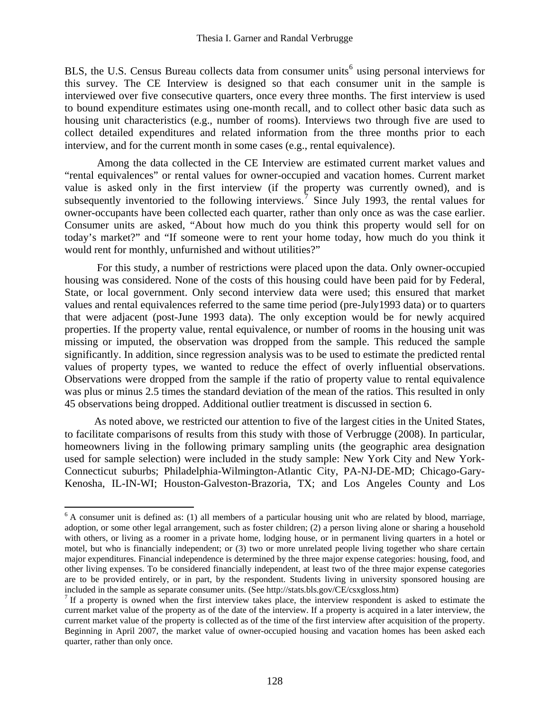BLS, the U.S. Census Bureau collects data from consumer units<sup>[6](#page-3-0)</sup> using personal interviews for this survey. The CE Interview is designed so that each consumer unit in the sample is interviewed over five consecutive quarters, once every three months. The first interview is used to bound expenditure estimates using one-month recall, and to collect other basic data such as housing unit characteristics (e.g., number of rooms). Interviews two through five are used to collect detailed expenditures and related information from the three months prior to each interview, and for the current month in some cases (e.g., rental equivalence).

 Among the data collected in the CE Interview are estimated current market values and "rental equivalences" or rental values for owner-occupied and vacation homes. Current market value is asked only in the first interview (if the property was currently owned), and is subsequently inventoried to the following interviews.<sup>[7](#page-3-1)</sup> Since July 1993, the rental values for owner-occupants have been collected each quarter, rather than only once as was the case earlier. Consumer units are asked, "About how much do you think this property would sell for on today's market?" and "If someone were to rent your home today, how much do you think it would rent for monthly, unfurnished and without utilities?"

 For this study, a number of restrictions were placed upon the data. Only owner-occupied housing was considered. None of the costs of this housing could have been paid for by Federal, State, or local government. Only second interview data were used; this ensured that market values and rental equivalences referred to the same time period (pre-July1993 data) or to quarters that were adjacent (post-June 1993 data). The only exception would be for newly acquired properties. If the property value, rental equivalence, or number of rooms in the housing unit was missing or imputed, the observation was dropped from the sample. This reduced the sample significantly. In addition, since regression analysis was to be used to estimate the predicted rental values of property types, we wanted to reduce the effect of overly influential observations. Observations were dropped from the sample if the ratio of property value to rental equivalence was plus or minus 2.5 times the standard deviation of the mean of the ratios. This resulted in only 45 observations being dropped. Additional outlier treatment is discussed in section 6.

 As noted above, we restricted our attention to five of the largest cities in the United States, to facilitate comparisons of results from this study with those of Verbrugge (2008). In particular, homeowners living in the following primary sampling units (the geographic area designation used for sample selection) were included in the study sample: New York City and New York-Connecticut suburbs; Philadelphia-Wilmington-Atlantic City, PA-NJ-DE-MD; Chicago-Gary-Kenosha, IL-IN-WI; Houston-Galveston-Brazoria, TX; and Los Angeles County and Los

<span id="page-3-0"></span><sup>&</sup>lt;sup>6</sup> A consumer unit is defined as: (1) all members of a particular housing unit who are related by blood, marriage, adoption, or some other legal arrangement, such as foster children; (2) a person living alone or sharing a household with others, or living as a roomer in a private home, lodging house, or in permanent living quarters in a hotel or motel, but who is financially independent; or (3) two or more unrelated people living together who share certain major expenditures. Financial independence is determined by the three major expense categories: housing, food, and other living expenses. To be considered financially independent, at least two of the three major expense categories are to be provided entirely, or in part, by the respondent. Students living in university sponsored housing are included in the sample as separate consumer units. (See http://stats.bls.gov/CE/csxgloss.htm) 7

<span id="page-3-1"></span>If a property is owned when the first interview takes place, the interview respondent is asked to estimate the current market value of the property as of the date of the interview. If a property is acquired in a later interview, the current market value of the property is collected as of the time of the first interview after acquisition of the property. Beginning in April 2007, the market value of owner-occupied housing and vacation homes has been asked each quarter, rather than only once.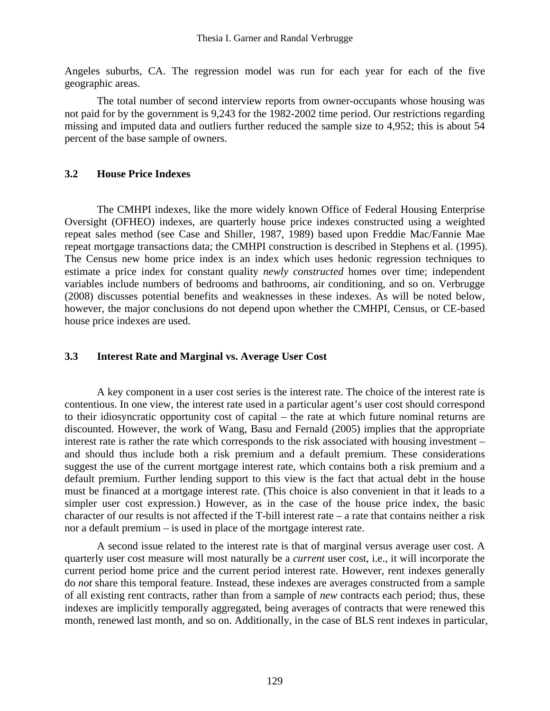Angeles suburbs, CA. The regression model was run for each year for each of the five geographic areas.

 The total number of second interview reports from owner-occupants whose housing was not paid for by the government is 9,243 for the 1982-2002 time period. Our restrictions regarding missing and imputed data and outliers further reduced the sample size to 4,952; this is about 54 percent of the base sample of owners.

## **3.2 House Price Indexes**

 The CMHPI indexes, like the more widely known Office of Federal Housing Enterprise Oversight (OFHEO) indexes, are quarterly house price indexes constructed using a weighted repeat sales method (see Case and Shiller, 1987, 1989) based upon Freddie Mac/Fannie Mae repeat mortgage transactions data; the CMHPI construction is described in Stephens et al. (1995). The Census new home price index is an index which uses hedonic regression techniques to estimate a price index for constant quality *newly constructed* homes over time; independent variables include numbers of bedrooms and bathrooms, air conditioning, and so on. Verbrugge (2008) discusses potential benefits and weaknesses in these indexes. As will be noted below, however, the major conclusions do not depend upon whether the CMHPI, Census, or CE-based house price indexes are used.

## **3.3 Interest Rate and Marginal vs. Average User Cost**

 A key component in a user cost series is the interest rate. The choice of the interest rate is contentious. In one view, the interest rate used in a particular agent's user cost should correspond to their idiosyncratic opportunity cost of capital – the rate at which future nominal returns are discounted. However, the work of Wang, Basu and Fernald (2005) implies that the appropriate interest rate is rather the rate which corresponds to the risk associated with housing investment – and should thus include both a risk premium and a default premium. These considerations suggest the use of the current mortgage interest rate, which contains both a risk premium and a default premium. Further lending support to this view is the fact that actual debt in the house must be financed at a mortgage interest rate. (This choice is also convenient in that it leads to a simpler user cost expression.) However, as in the case of the house price index, the basic character of our results is not affected if the T-bill interest rate – a rate that contains neither a risk nor a default premium – is used in place of the mortgage interest rate.

 A second issue related to the interest rate is that of marginal versus average user cost. A quarterly user cost measure will most naturally be a *current* user cost, i.e., it will incorporate the current period home price and the current period interest rate. However, rent indexes generally do *not* share this temporal feature. Instead, these indexes are averages constructed from a sample of all existing rent contracts, rather than from a sample of *new* contracts each period; thus, these indexes are implicitly temporally aggregated, being averages of contracts that were renewed this month, renewed last month, and so on. Additionally, in the case of BLS rent indexes in particular,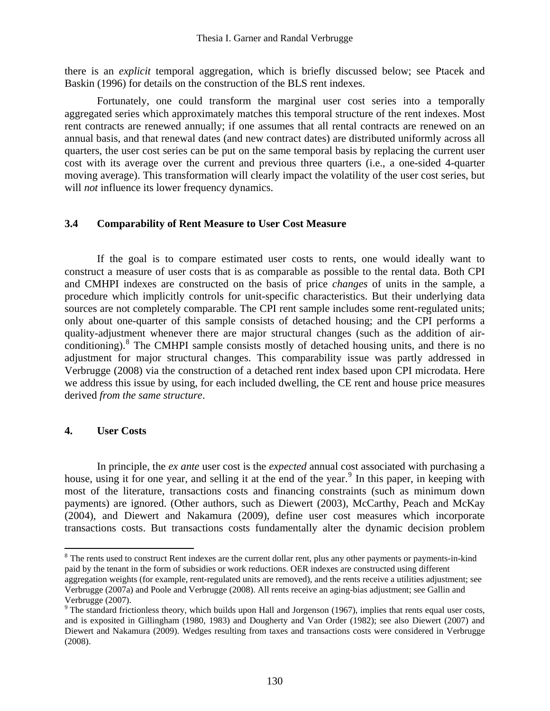there is an *explicit* temporal aggregation, which is briefly discussed below; see Ptacek and Baskin (1996) for details on the construction of the BLS rent indexes.

 Fortunately, one could transform the marginal user cost series into a temporally aggregated series which approximately matches this temporal structure of the rent indexes. Most rent contracts are renewed annually; if one assumes that all rental contracts are renewed on an annual basis, and that renewal dates (and new contract dates) are distributed uniformly across all quarters, the user cost series can be put on the same temporal basis by replacing the current user cost with its average over the current and previous three quarters (i.e., a one-sided 4-quarter moving average). This transformation will clearly impact the volatility of the user cost series, but will *not* influence its lower frequency dynamics.

## **3.4 Comparability of Rent Measure to User Cost Measure**

 If the goal is to compare estimated user costs to rents, one would ideally want to construct a measure of user costs that is as comparable as possible to the rental data. Both CPI and CMHPI indexes are constructed on the basis of price *changes* of units in the sample, a procedure which implicitly controls for unit-specific characteristics. But their underlying data sources are not completely comparable. The CPI rent sample includes some rent-regulated units; only about one-quarter of this sample consists of detached housing; and the CPI performs a quality-adjustment whenever there are major structural changes (such as the addition of air-conditioning).<sup>[8](#page-5-0)</sup> The CMHPI sample consists mostly of detached housing units, and there is no adjustment for major structural changes. This comparability issue was partly addressed in Verbrugge (2008) via the construction of a detached rent index based upon CPI microdata. Here we address this issue by using, for each included dwelling, the CE rent and house price measures derived *from the same structure*.

### **4. User Costs**

 In principle, the *ex ante* user cost is the *expected* annual cost associated with purchasing a house, using it for one year, and selling it at the end of the year.<sup>[9](#page-5-1)</sup> In this paper, in keeping with most of the literature, transactions costs and financing constraints (such as minimum down payments) are ignored. (Other authors, such as Diewert (2003), McCarthy, Peach and McKay (2004), and Diewert and Nakamura (2009), define user cost measures which incorporate transactions costs. But transactions costs fundamentally alter the dynamic decision problem

<span id="page-5-0"></span> $\overline{a}$ <sup>8</sup> The rents used to construct Rent indexes are the current dollar rent, plus any other payments or payments-in-kind paid by the tenant in the form of subsidies or work reductions. OER indexes are constructed using different

aggregation weights (for example, rent-regulated units are removed), and the rents receive a utilities adjustment; see Verbrugge (2007a) and Poole and Verbrugge (2008). All rents receive an aging-bias adjustment; see Gallin and Verbrugge (2007).

<span id="page-5-1"></span><sup>&</sup>lt;sup>9</sup> The standard frictionless theory, which builds upon Hall and Jorgenson (1967), implies that rents equal user costs, and is exposited in Gillingham (1980, 1983) and Dougherty and Van Order (1982); see also Diewert (2007) and Diewert and Nakamura (2009). Wedges resulting from taxes and transactions costs were considered in Verbrugge (2008).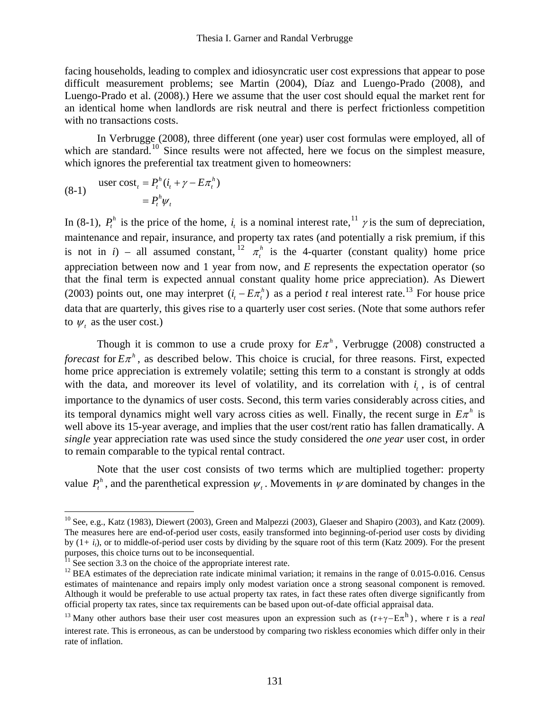facing households, leading to complex and idiosyncratic user cost expressions that appear to pose difficult measurement problems; see Martin (2004), Díaz and Luengo-Prado (2008), and Luengo-Prado et al. (2008).) Here we assume that the user cost should equal the market rent for an identical home when landlords are risk neutral and there is perfect frictionless competition with no transactions costs.

 In Verbrugge (2008), three different (one year) user cost formulas were employed, all of which are standard.<sup>[10](#page-6-0)</sup> Since results were not affected, here we focus on the simplest measure, which ignores the preferential tax treatment given to homeowners:

(8-1) 
$$
\text{user cost}_{t} = P_t^h(i_t + \gamma - E\pi_t^h) = P_t^h \psi_t
$$

In (8-1),  $P_t^h$  is the price of the home,  $i_t$  is a nominal interest rate,  $\frac{11}{2}$  $\frac{11}{2}$  $\frac{11}{2}$  *y* is the sum of depreciation, maintenance and repair, insurance, and property tax rates (and potentially a risk premium, if this is not in *i*) – all assumed constant,  $\lambda^{12}$  $\lambda^{12}$  $\lambda^{12}$   $\pi^{h}$  is the 4-quarter (constant quality) home price appreciation between now and 1 year from now, and *E* represents the expectation operator (so that the final term is expected annual constant quality home price appreciation). As Diewert (2003) points out, one may interpret  $(i_t - E\pi_t^h)$  as a period *t* real interest rate.<sup>[13](#page-6-3)</sup> For house price data that are quarterly, this gives rise to a quarterly user cost series. (Note that some authors refer to  $\psi$ , as the user cost.)

Though it is common to use a crude proxy for  $E\pi^{h}$ , Verbrugge (2008) constructed a *forecast* for  $E\pi^{h}$ , as described below. This choice is crucial, for three reasons. First, expected home price appreciation is extremely volatile; setting this term to a constant is strongly at odds with the data, and moreover its level of volatility, and its correlation with  $i_t$ , is of central importance to the dynamics of user costs. Second, this term varies considerably across cities, and its temporal dynamics might well vary across cities as well. Finally, the recent surge in  $E\pi^{h}$  is well above its 15-year average, and implies that the user cost/rent ratio has fallen dramatically. A *single* year appreciation rate was used since the study considered the *one year* user cost, in order to remain comparable to the typical rental contract.

 Note that the user cost consists of two terms which are multiplied together: property value  $P_t^h$ , and the parenthetical expression  $\psi$ . Movements in  $\psi$  are dominated by changes in the

<span id="page-6-0"></span> $10$  See, e.g., Katz (1983), Diewert (2003), Green and Malpezzi (2003), Glaeser and Shapiro (2003), and Katz (2009). The measures here are end-of-period user costs, easily transformed into beginning-of-period user costs by dividing by (1+ i<sub>t</sub>), or to middle-of-period user costs by dividing by the square root of this term (Katz 2009). For the present purposes, this choice turns out to be inconsequential.<br><sup>11</sup> See section 3.3 on the choice of the appropriate interest rate.

<span id="page-6-1"></span>

<span id="page-6-2"></span> $12$  BEA estimates of the depreciation rate indicate minimal variation; it remains in the range of 0.015-0.016. Census estimates of maintenance and repairs imply only modest variation once a strong seasonal component is removed. Although it would be preferable to use actual property tax rates, in fact these rates often diverge significantly from official property tax rates, since tax requirements can be based upon out-of-date official appraisal data.

<span id="page-6-3"></span><sup>&</sup>lt;sup>13</sup> Many other authors base their user cost measures upon an expression such as  $(r+\gamma-E\pi^h)$ , where r is a *real* interest rate. This is erroneous, as can be understood by comparing two riskless economies which differ only in their rate of inflation.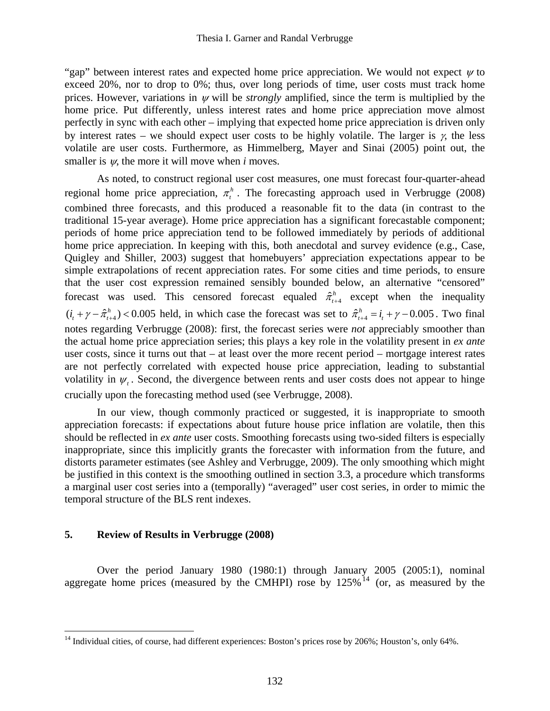"gap" between interest rates and expected home price appreciation. We would not expect  $\psi$  to exceed 20%, nor to drop to 0%; thus, over long periods of time, user costs must track home prices. However, variations in  $\psi$  will be *strongly* amplified, since the term is multiplied by the home price. Put differently, unless interest rates and home price appreciation move almost perfectly in sync with each other – implying that expected home price appreciation is driven only by interest rates – we should expect user costs to be highly volatile. The larger is  $\gamma$ , the less volatile are user costs. Furthermore, as Himmelberg, Mayer and Sinai (2005) point out, the smaller is  $\psi$ , the more it will move when *i* moves.

 As noted, to construct regional user cost measures, one must forecast four-quarter-ahead regional home price appreciation,  $\pi_i^h$ . The forecasting approach used in Verbrugge (2008) combined three forecasts, and this produced a reasonable fit to the data (in contrast to the traditional 15-year average). Home price appreciation has a significant forecastable component; periods of home price appreciation tend to be followed immediately by periods of additional home price appreciation. In keeping with this, both anecdotal and survey evidence (e.g., Case, Quigley and Shiller, 2003) suggest that homebuyers' appreciation expectations appear to be simple extrapolations of recent appreciation rates. For some cities and time periods, to ensure that the user cost expression remained sensibly bounded below, an alternative "censored" forecast was used. This censored forecast equaled  $\hat{\pi}_{t+4}^h$  except when the inequality  $(i_t + \gamma - \hat{\pi}_{t+4}^h)$  < 0.005 held, in which case the forecast was set to  $\hat{\pi}_{t+4}^h = i_t + \gamma - 0.005$ . Two final notes regarding Verbrugge (2008): first, the forecast series were *not* appreciably smoother than the actual home price appreciation series; this plays a key role in the volatility present in *ex ante* user costs, since it turns out that – at least over the more recent period – mortgage interest rates are not perfectly correlated with expected house price appreciation, leading to substantial volatility in  $\psi_t$ . Second, the divergence between rents and user costs does not appear to hinge crucially upon the forecasting method used (see Verbrugge, 2008).

 In our view, though commonly practiced or suggested, it is inappropriate to smooth appreciation forecasts: if expectations about future house price inflation are volatile, then this should be reflected in *ex ante* user costs. Smoothing forecasts using two-sided filters is especially inappropriate, since this implicitly grants the forecaster with information from the future, and distorts parameter estimates (see Ashley and Verbrugge, 2009). The only smoothing which might be justified in this context is the smoothing outlined in section 3.3, a procedure which transforms a marginal user cost series into a (temporally) "averaged" user cost series, in order to mimic the temporal structure of the BLS rent indexes.

#### **5. Review of Results in Verbrugge (2008)**

<u>.</u>

 Over the period January 1980 (1980:1) through January 2005 (2005:1), nominal aggregate home prices (measured by the CMHPI) rose by  $125\%$  <sup>[14](#page-7-0)</sup> (or, as measured by the

<span id="page-7-0"></span><sup>&</sup>lt;sup>14</sup> Individual cities, of course, had different experiences: Boston's prices rose by 206%; Houston's, only 64%.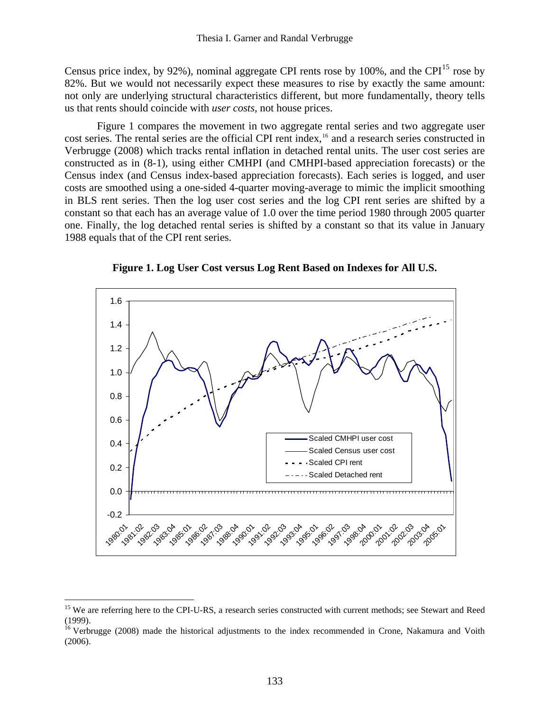Census price index, by 92%), nominal aggregate CPI rents rose by 100%, and the CPI<sup>[15](#page-8-0)</sup> rose by 82%. But we would not necessarily expect these measures to rise by exactly the same amount: not only are underlying structural characteristics different, but more fundamentally, theory tells us that rents should coincide with *user costs*, not house prices.

 Figure 1 compares the movement in two aggregate rental series and two aggregate user cost series. The rental series are the official CPI rent index,<sup>[16](#page-8-1)</sup> and a research series constructed in Verbrugge (2008) which tracks rental inflation in detached rental units. The user cost series are constructed as in (8-1), using either CMHPI (and CMHPI-based appreciation forecasts) or the Census index (and Census index-based appreciation forecasts). Each series is logged, and user costs are smoothed using a one-sided 4-quarter moving-average to mimic the implicit smoothing in BLS rent series. Then the log user cost series and the log CPI rent series are shifted by a constant so that each has an average value of 1.0 over the time period 1980 through 2005 quarter one. Finally, the log detached rental series is shifted by a constant so that its value in January 1988 equals that of the CPI rent series.



**Figure 1. Log User Cost versus Log Rent Based on Indexes for All U.S.** 

<span id="page-8-0"></span><sup>&</sup>lt;sup>15</sup> We are referring here to the CPI-U-RS, a research series constructed with current methods; see Stewart and Reed (1999).

<span id="page-8-1"></span><sup>&</sup>lt;sup>16</sup> Verbrugge (2008) made the historical adjustments to the index recommended in Crone, Nakamura and Voith (2006).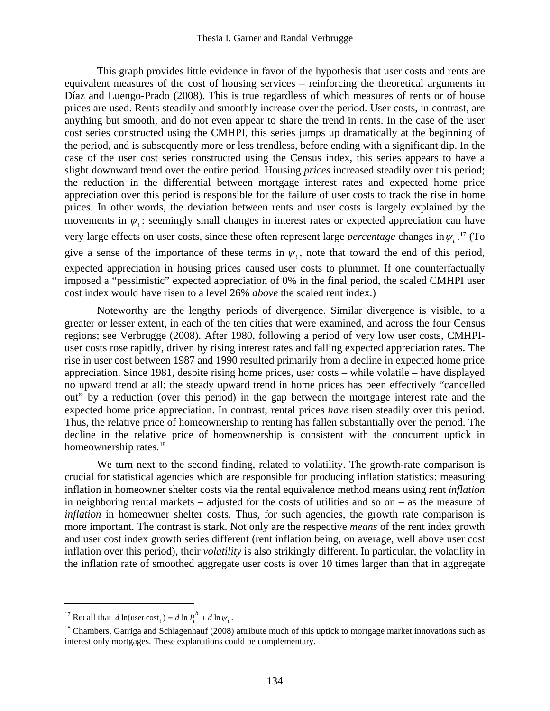This graph provides little evidence in favor of the hypothesis that user costs and rents are equivalent measures of the cost of housing services – reinforcing the theoretical arguments in Díaz and Luengo-Prado (2008). This is true regardless of which measures of rents or of house prices are used. Rents steadily and smoothly increase over the period. User costs, in contrast, are anything but smooth, and do not even appear to share the trend in rents. In the case of the user cost series constructed using the CMHPI, this series jumps up dramatically at the beginning of the period, and is subsequently more or less trendless, before ending with a significant dip. In the case of the user cost series constructed using the Census index, this series appears to have a slight downward trend over the entire period. Housing *prices* increased steadily over this period; the reduction in the differential between mortgage interest rates and expected home price appreciation over this period is responsible for the failure of user costs to track the rise in home prices. In other words, the deviation between rents and user costs is largely explained by the movements in  $\psi$ , seemingly small changes in interest rates or expected appreciation can have very large effects on user costs, since these often represent large *percentage* changes in $\psi_t$ .<sup>[17](#page-9-0)</sup> (To give a sense of the importance of these terms in  $\psi$ , note that toward the end of this period, expected appreciation in housing prices caused user costs to plummet. If one counterfactually imposed a "pessimistic" expected appreciation of 0% in the final period, the scaled CMHPI user cost index would have risen to a level 26% *above* the scaled rent index.)

 Noteworthy are the lengthy periods of divergence. Similar divergence is visible, to a greater or lesser extent, in each of the ten cities that were examined, and across the four Census regions; see Verbrugge (2008). After 1980, following a period of very low user costs, CMHPIuser costs rose rapidly, driven by rising interest rates and falling expected appreciation rates. The rise in user cost between 1987 and 1990 resulted primarily from a decline in expected home price appreciation. Since 1981, despite rising home prices, user costs – while volatile – have displayed no upward trend at all: the steady upward trend in home prices has been effectively "cancelled out" by a reduction (over this period) in the gap between the mortgage interest rate and the expected home price appreciation. In contrast, rental prices *have* risen steadily over this period. Thus, the relative price of homeownership to renting has fallen substantially over the period. The decline in the relative price of homeownership is consistent with the concurrent uptick in homeownership rates.<sup>[18](#page-9-1)</sup>

We turn next to the second finding, related to volatility. The growth-rate comparison is crucial for statistical agencies which are responsible for producing inflation statistics: measuring inflation in homeowner shelter costs via the rental equivalence method means using rent *inflation* in neighboring rental markets – adjusted for the costs of utilities and so on – as the measure of *inflation* in homeowner shelter costs. Thus, for such agencies, the growth rate comparison is more important. The contrast is stark. Not only are the respective *means* of the rent index growth and user cost index growth series different (rent inflation being, on average, well above user cost inflation over this period), their *volatility* is also strikingly different. In particular, the volatility in the inflation rate of smoothed aggregate user costs is over 10 times larger than that in aggregate

<span id="page-9-0"></span><sup>&</sup>lt;sup>17</sup> Recall that *d*  $ln(\text{user cost}_t) = d \ln P_t^h + d \ln \psi_t$ .

<span id="page-9-1"></span><sup>&</sup>lt;sup>18</sup> Chambers, Garriga and Schlagenhauf (2008) attribute much of this uptick to mortgage market innovations such as interest only mortgages. These explanations could be complementary.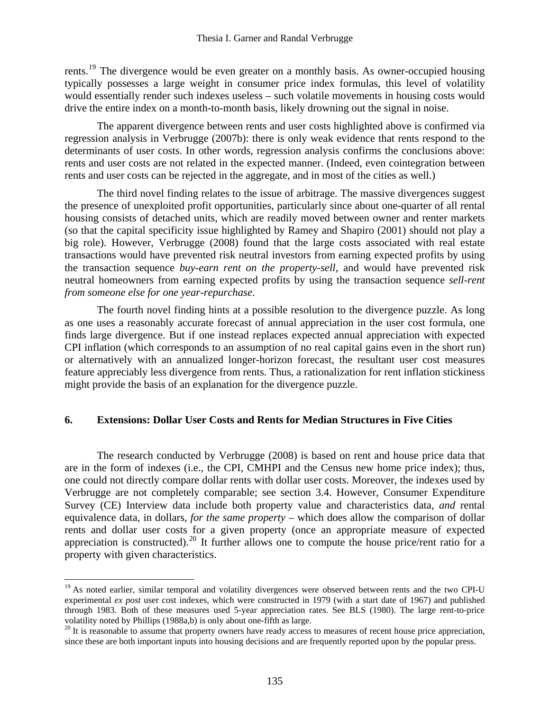rents.<sup>[19](#page-10-0)</sup> The divergence would be even greater on a monthly basis. As owner-occupied housing typically possesses a large weight in consumer price index formulas, this level of volatility would essentially render such indexes useless – such volatile movements in housing costs would drive the entire index on a month-to-month basis, likely drowning out the signal in noise.

 The apparent divergence between rents and user costs highlighted above is confirmed via regression analysis in Verbrugge (2007b): there is only weak evidence that rents respond to the determinants of user costs. In other words, regression analysis confirms the conclusions above: rents and user costs are not related in the expected manner. (Indeed, even cointegration between rents and user costs can be rejected in the aggregate, and in most of the cities as well.)

The third novel finding relates to the issue of arbitrage. The massive divergences suggest the presence of unexploited profit opportunities, particularly since about one-quarter of all rental housing consists of detached units, which are readily moved between owner and renter markets (so that the capital specificity issue highlighted by Ramey and Shapiro (2001) should not play a big role). However, Verbrugge (2008) found that the large costs associated with real estate transactions would have prevented risk neutral investors from earning expected profits by using the transaction sequence *buy-earn rent on the property-sell*, and would have prevented risk neutral homeowners from earning expected profits by using the transaction sequence *sell-rent from someone else for one year-repurchase*.

The fourth novel finding hints at a possible resolution to the divergence puzzle. As long as one uses a reasonably accurate forecast of annual appreciation in the user cost formula, one finds large divergence. But if one instead replaces expected annual appreciation with expected CPI inflation (which corresponds to an assumption of no real capital gains even in the short run) or alternatively with an annualized longer-horizon forecast, the resultant user cost measures feature appreciably less divergence from rents. Thus, a rationalization for rent inflation stickiness might provide the basis of an explanation for the divergence puzzle.

## **6. Extensions: Dollar User Costs and Rents for Median Structures in Five Cities**

 The research conducted by Verbrugge (2008) is based on rent and house price data that are in the form of indexes (i.e., the CPI, CMHPI and the Census new home price index); thus, one could not directly compare dollar rents with dollar user costs. Moreover, the indexes used by Verbrugge are not completely comparable; see section 3.4. However, Consumer Expenditure Survey (CE) Interview data include both property value and characteristics data, *and* rental equivalence data, in dollars, *for the same property* – which does allow the comparison of dollar rents and dollar user costs for a given property (once an appropriate measure of expected appreciation is constructed).<sup>[20](#page-10-1)</sup> It further allows one to compute the house price/rent ratio for a property with given characteristics.

1

<span id="page-10-0"></span><sup>&</sup>lt;sup>19</sup> As noted earlier, similar temporal and volatility divergences were observed between rents and the two CPI-U experimental *ex post* user cost indexes, which were constructed in 1979 (with a start date of 1967) and published through 1983. Both of these measures used 5-year appreciation rates. See BLS (1980). The large rent-to-price volatility noted by Phillips (1988a,b) is only about one-fifth as large.

<span id="page-10-1"></span><sup>&</sup>lt;sup>20</sup> It is reasonable to assume that property owners have ready access to measures of recent house price appreciation, since these are both important inputs into housing decisions and are frequently reported upon by the popular press.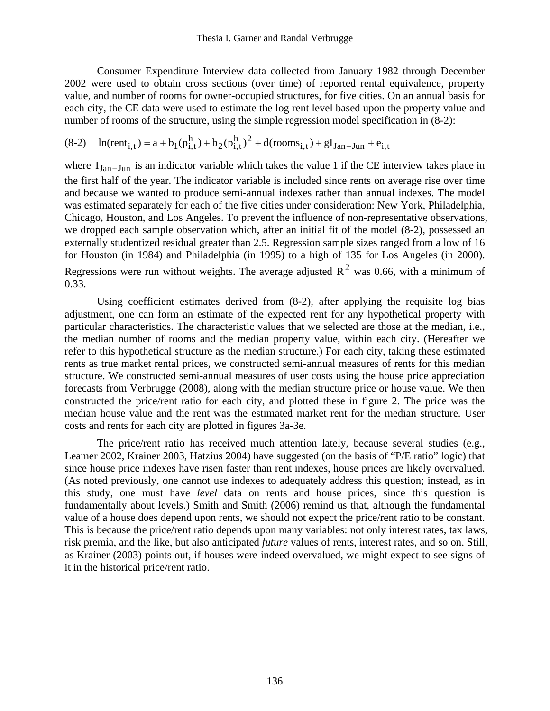Consumer Expenditure Interview data collected from January 1982 through December 2002 were used to obtain cross sections (over time) of reported rental equivalence, property value, and number of rooms for owner-occupied structures, for five cities. On an annual basis for each city, the CE data were used to estimate the log rent level based upon the property value and number of rooms of the structure, using the simple regression model specification in  $(8-2)$ :

(8-2) 
$$
\ln(\text{rent}_{i,t}) = a + b_1(p_{i,t}^h) + b_2(p_{i,t}^h)^2 + d(\text{rooms}_{i,t}) + gI_{Jan-Jun} + e_{i,t}
$$

where  $I_{Jan-Jun}$  is an indicator variable which takes the value 1 if the CE interview takes place in the first half of the year. The indicator variable is included since rents on average rise over time and because we wanted to produce semi-annual indexes rather than annual indexes. The model was estimated separately for each of the five cities under consideration: New York, Philadelphia, Chicago, Houston, and Los Angeles. To prevent the influence of non-representative observations, we dropped each sample observation which, after an initial fit of the model (8-2), possessed an externally studentized residual greater than 2.5. Regression sample sizes ranged from a low of 16 for Houston (in 1984) and Philadelphia (in 1995) to a high of 135 for Los Angeles (in 2000). Regressions were run without weights. The average adjusted  $R^2$  was 0.66, with a minimum of 0.33.

 Using coefficient estimates derived from (8-2), after applying the requisite log bias adjustment, one can form an estimate of the expected rent for any hypothetical property with particular characteristics. The characteristic values that we selected are those at the median, i.e., the median number of rooms and the median property value, within each city. (Hereafter we refer to this hypothetical structure as the median structure.) For each city, taking these estimated rents as true market rental prices, we constructed semi-annual measures of rents for this median structure. We constructed semi-annual measures of user costs using the house price appreciation forecasts from Verbrugge (2008), along with the median structure price or house value. We then constructed the price/rent ratio for each city, and plotted these in figure 2. The price was the median house value and the rent was the estimated market rent for the median structure. User costs and rents for each city are plotted in figures 3a-3e.

 The price/rent ratio has received much attention lately, because several studies (e.g., Leamer 2002, Krainer 2003, Hatzius 2004) have suggested (on the basis of "P/E ratio" logic) that since house price indexes have risen faster than rent indexes, house prices are likely overvalued. (As noted previously, one cannot use indexes to adequately address this question; instead, as in this study, one must have *level* data on rents and house prices, since this question is fundamentally about levels.) Smith and Smith (2006) remind us that, although the fundamental value of a house does depend upon rents, we should not expect the price/rent ratio to be constant. This is because the price/rent ratio depends upon many variables: not only interest rates, tax laws, risk premia, and the like, but also anticipated *future* values of rents, interest rates, and so on. Still, as Krainer (2003) points out, if houses were indeed overvalued, we might expect to see signs of it in the historical price/rent ratio.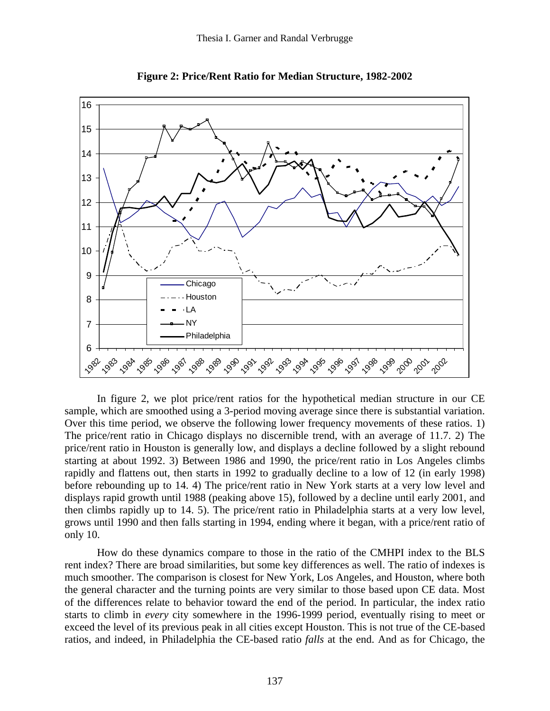

**Figure 2: Price/Rent Ratio for Median Structure, 1982-2002** 

 In figure 2, we plot price/rent ratios for the hypothetical median structure in our CE sample, which are smoothed using a 3-period moving average since there is substantial variation. Over this time period, we observe the following lower frequency movements of these ratios. 1) The price/rent ratio in Chicago displays no discernible trend, with an average of 11.7. 2) The price/rent ratio in Houston is generally low, and displays a decline followed by a slight rebound starting at about 1992. 3) Between 1986 and 1990, the price/rent ratio in Los Angeles climbs rapidly and flattens out, then starts in 1992 to gradually decline to a low of 12 (in early 1998) before rebounding up to 14. 4) The price/rent ratio in New York starts at a very low level and displays rapid growth until 1988 (peaking above 15), followed by a decline until early 2001, and then climbs rapidly up to 14. 5). The price/rent ratio in Philadelphia starts at a very low level, grows until 1990 and then falls starting in 1994, ending where it began, with a price/rent ratio of only 10.

 How do these dynamics compare to those in the ratio of the CMHPI index to the BLS rent index? There are broad similarities, but some key differences as well. The ratio of indexes is much smoother. The comparison is closest for New York, Los Angeles, and Houston, where both the general character and the turning points are very similar to those based upon CE data. Most of the differences relate to behavior toward the end of the period. In particular, the index ratio starts to climb in *every* city somewhere in the 1996-1999 period, eventually rising to meet or exceed the level of its previous peak in all cities except Houston. This is not true of the CE-based ratios, and indeed, in Philadelphia the CE-based ratio *falls* at the end. And as for Chicago, the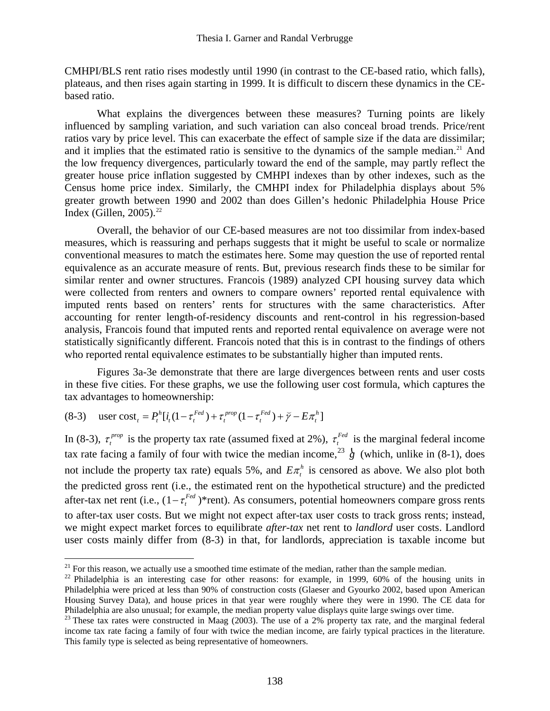CMHPI/BLS rent ratio rises modestly until 1990 (in contrast to the CE-based ratio, which falls), plateaus, and then rises again starting in 1999. It is difficult to discern these dynamics in the CEbased ratio.

 What explains the divergences between these measures? Turning points are likely influenced by sampling variation, and such variation can also conceal broad trends. Price/rent ratios vary by price level. This can exacerbate the effect of sample size if the data are dissimilar; and it implies that the estimated ratio is sensitive to the dynamics of the sample median.<sup>21</sup> And the low frequency divergences, particularly toward the end of the sample, may partly reflect the greater house price inflation suggested by CMHPI indexes than by other indexes, such as the Census home price index. Similarly, the CMHPI index for Philadelphia displays about 5% greater growth between 1990 and 2002 than does Gillen's hedonic Philadelphia House Price Index (Gillen, 2005). $^{22}$  $^{22}$  $^{22}$ 

 Overall, the behavior of our CE-based measures are not too dissimilar from index-based measures, which is reassuring and perhaps suggests that it might be useful to scale or normalize conventional measures to match the estimates here. Some may question the use of reported rental equivalence as an accurate measure of rents. But, previous research finds these to be similar for similar renter and owner structures. Francois (1989) analyzed CPI housing survey data which were collected from renters and owners to compare owners' reported rental equivalence with imputed rents based on renters' rents for structures with the same characteristics. After accounting for renter length-of-residency discounts and rent-control in his regression-based analysis, Francois found that imputed rents and reported rental equivalence on average were not statistically significantly different. Francois noted that this is in contrast to the findings of others who reported rental equivalence estimates to be substantially higher than imputed rents.

 Figures 3a-3e demonstrate that there are large divergences between rents and user costs in these five cities. For these graphs, we use the following user cost formula, which captures the tax advantages to homeownership:

(8-3) user cost<sub>t</sub> = 
$$
P_t^h[i_t(1 - \tau_t^{Fed}) + \tau_t^{prop}(1 - \tau_t^{Fed}) + \breve{\gamma} - E\pi_t^h]
$$

 $\overline{a}$ 

In (8-3),  $\tau_t^{prop}$  is the property tax rate (assumed fixed at 2%),  $\tau_t^{Fed}$  is the marginal federal income tax rate facing a family of four with twice the median income,  $23 \frac{1}{8}$  $23 \frac{1}{8}$  (which, unlike in (8-1), does not include the property tax rate) equals 5%, and  $E\pi_t^h$  is censored as above. We also plot both the predicted gross rent (i.e., the estimated rent on the hypothetical structure) and the predicted after-tax net rent (i.e.,  $(1 - \tau_t^{\text{Fed}})$ \*rent). As consumers, potential homeowners compare gross rents to after-tax user costs. But we might not expect after-tax user costs to track gross rents; instead, we might expect market forces to equilibrate *after-tax* net rent to *landlord* user costs. Landlord user costs mainly differ from (8-3) in that, for landlords, appreciation is taxable income but

<span id="page-13-0"></span> $21$  For this reason, we actually use a smoothed time estimate of the median, rather than the sample median.

<span id="page-13-1"></span><sup>&</sup>lt;sup>22</sup> Philadelphia is an interesting case for other reasons: for example, in 1999, 60% of the housing units in Philadelphia were priced at less than 90% of construction costs (Glaeser and Gyourko 2002, based upon American Housing Survey Data), and house prices in that year were roughly where they were in 1990. The CE data for Philadelphia are also unusual; for example, the median property value displays quite large swings over time.

<span id="page-13-2"></span><sup>&</sup>lt;sup>23</sup> These tax rates were constructed in Maag (2003). The use of a 2% property tax rate, and the marginal federal income tax rate facing a family of four with twice the median income, are fairly typical practices in the literature. This family type is selected as being representative of homeowners.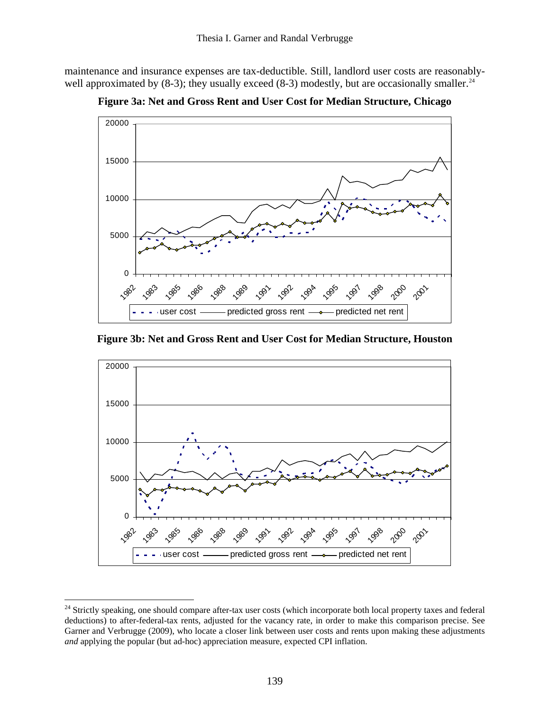maintenance and insurance expenses are tax-deductible. Still, landlord user costs are reasonablywell approximated by  $(8-3)$ ; they usually exceed  $(8-3)$  modestly, but are occasionally smaller.<sup>[24](#page-14-0)</sup>



**[Figure 3a: Net and Gross Rent and User Cost for Median Structure, Chicago](#page-14-0)** 

**Figure 3b: Net and Gross Rent and User Cost for Median Structure, Houston** 



<span id="page-14-0"></span> Strictly speaking, one should compare after-tax user costs (which incorporate both local property taxes and federal deductions) to after-federal-tax rents, adjusted for the vacancy rate, in order to make this comparison precise. See Garner and Verbrugge (2009), who locate a closer link between user costs and rents upon making these adjustments *and* applying the popular (but ad-hoc) appreciation measure, expected CPI inflation.

<u>.</u>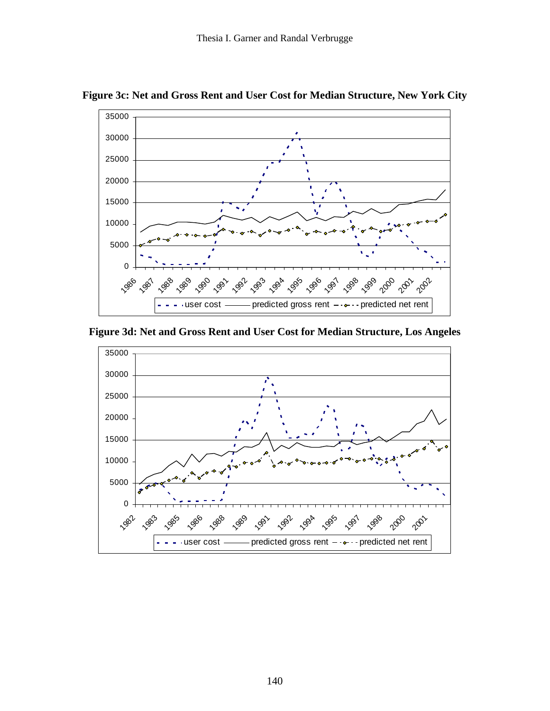

**Figure 3c: Net and Gross Rent and User Cost for Median Structure, New York City** 



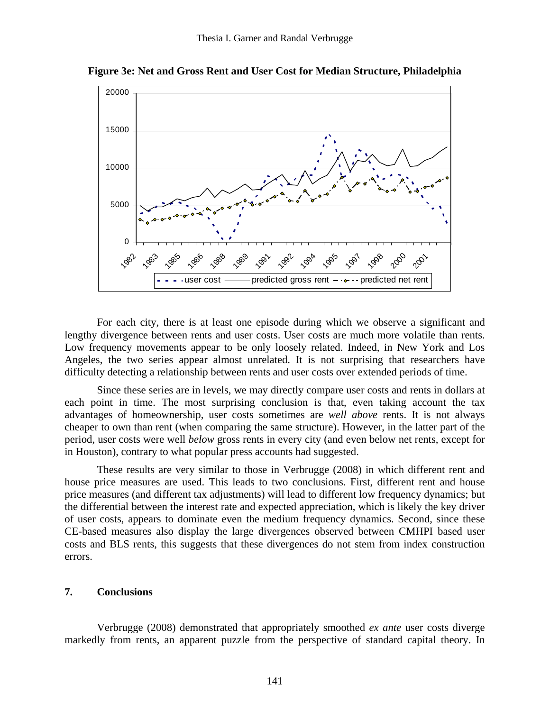

**Figure 3e: Net and Gross Rent and User Cost for Median Structure, Philadelphia** 

 For each city, there is at least one episode during which we observe a significant and lengthy divergence between rents and user costs. User costs are much more volatile than rents. Low frequency movements appear to be only loosely related. Indeed, in New York and Los Angeles, the two series appear almost unrelated. It is not surprising that researchers have difficulty detecting a relationship between rents and user costs over extended periods of time.

 Since these series are in levels, we may directly compare user costs and rents in dollars at each point in time. The most surprising conclusion is that, even taking account the tax advantages of homeownership, user costs sometimes are *well above* rents. It is not always cheaper to own than rent (when comparing the same structure). However, in the latter part of the period, user costs were well *below* gross rents in every city (and even below net rents, except for in Houston), contrary to what popular press accounts had suggested.

 These results are very similar to those in Verbrugge (2008) in which different rent and house price measures are used. This leads to two conclusions. First, different rent and house price measures (and different tax adjustments) will lead to different low frequency dynamics; but the differential between the interest rate and expected appreciation, which is likely the key driver of user costs, appears to dominate even the medium frequency dynamics. Second, since these CE-based measures also display the large divergences observed between CMHPI based user costs and BLS rents, this suggests that these divergences do not stem from index construction errors.

#### **7. Conclusions**

 Verbrugge (2008) demonstrated that appropriately smoothed *ex ante* user costs diverge markedly from rents, an apparent puzzle from the perspective of standard capital theory. In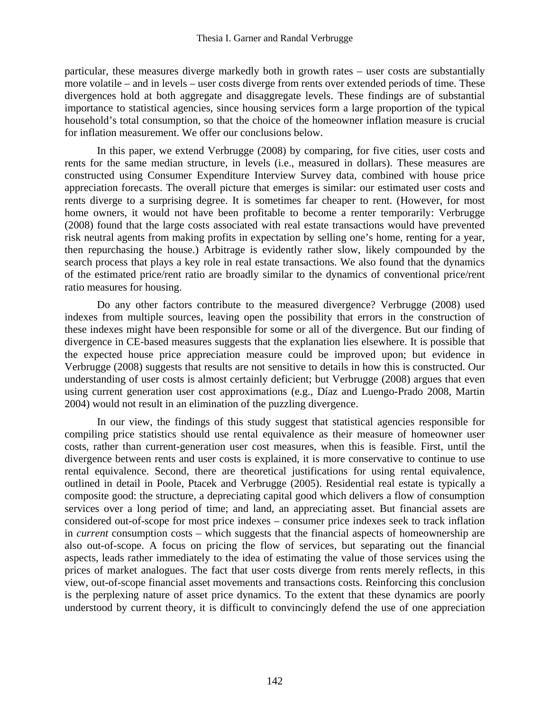particular, these measures diverge markedly both in growth rates – user costs are substantially more volatile – and in levels – user costs diverge from rents over extended periods of time. These divergences hold at both aggregate and disaggregate levels. These findings are of substantial importance to statistical agencies, since housing services form a large proportion of the typical household's total consumption, so that the choice of the homeowner inflation measure is crucial for inflation measurement. We offer our conclusions below.

 In this paper, we extend Verbrugge (2008) by comparing, for five cities, user costs and rents for the same median structure, in levels (i.e., measured in dollars). These measures are constructed using Consumer Expenditure Interview Survey data, combined with house price appreciation forecasts. The overall picture that emerges is similar: our estimated user costs and rents diverge to a surprising degree. It is sometimes far cheaper to rent. (However, for most home owners, it would not have been profitable to become a renter temporarily: Verbrugge (2008) found that the large costs associated with real estate transactions would have prevented risk neutral agents from making profits in expectation by selling one's home, renting for a year, then repurchasing the house.) Arbitrage is evidently rather slow, likely compounded by the search process that plays a key role in real estate transactions. We also found that the dynamics of the estimated price/rent ratio are broadly similar to the dynamics of conventional price/rent ratio measures for housing.

 Do any other factors contribute to the measured divergence? Verbrugge (2008) used indexes from multiple sources, leaving open the possibility that errors in the construction of these indexes might have been responsible for some or all of the divergence. But our finding of divergence in CE-based measures suggests that the explanation lies elsewhere. It is possible that the expected house price appreciation measure could be improved upon; but evidence in Verbrugge (2008) suggests that results are not sensitive to details in how this is constructed. Our understanding of user costs is almost certainly deficient; but Verbrugge (2008) argues that even using current generation user cost approximations (e.g., Díaz and Luengo-Prado 2008, Martin 2004) would not result in an elimination of the puzzling divergence.

In our view, the findings of this study suggest that statistical agencies responsible for compiling price statistics should use rental equivalence as their measure of homeowner user costs, rather than current-generation user cost measures, when this is feasible. First, until the divergence between rents and user costs is explained, it is more conservative to continue to use rental equivalence. Second, there are theoretical justifications for using rental equivalence, outlined in detail in Poole, Ptacek and Verbrugge (2005). Residential real estate is typically a composite good: the structure, a depreciating capital good which delivers a flow of consumption services over a long period of time; and land, an appreciating asset. But financial assets are considered out-of-scope for most price indexes – consumer price indexes seek to track inflation in *current* consumption costs – which suggests that the financial aspects of homeownership are also out-of-scope. A focus on pricing the flow of services, but separating out the financial aspects, leads rather immediately to the idea of estimating the value of those services using the prices of market analogues. The fact that user costs diverge from rents merely reflects, in this view, out-of-scope financial asset movements and transactions costs. Reinforcing this conclusion is the perplexing nature of asset price dynamics. To the extent that these dynamics are poorly understood by current theory, it is difficult to convincingly defend the use of one appreciation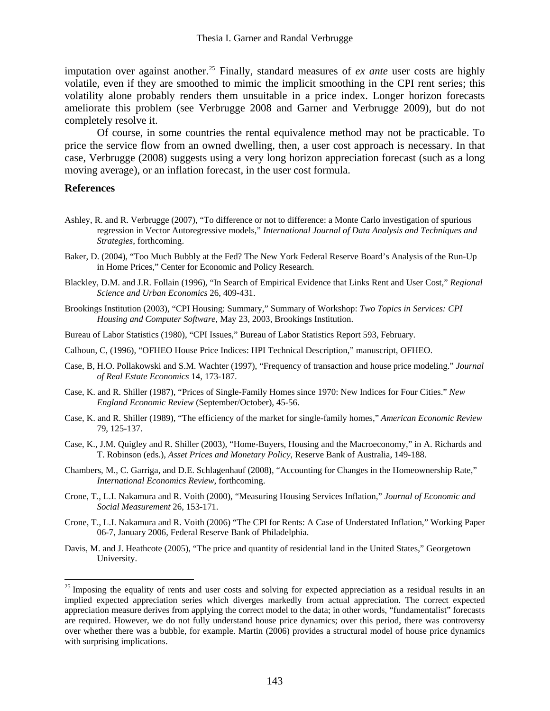imputation over against another.<sup>[25](#page-18-0)</sup> Finally, standard measures of *ex ante* user costs are highly volatile, even if they are smoothed to mimic the implicit smoothing in the CPI rent series; this volatility alone probably renders them unsuitable in a price index. Longer horizon forecasts ameliorate this problem (see Verbrugge 2008 and Garner and Verbrugge 2009), but do not completely resolve it.

Of course, in some countries the rental equivalence method may not be practicable. To price the service flow from an owned dwelling, then, a user cost approach is necessary. In that case, Verbrugge (2008) suggests using a very long horizon appreciation forecast (such as a long moving average), or an inflation forecast, in the user cost formula.

#### **References**

- Ashley, R. and R. Verbrugge (2007), "To difference or not to difference: a Monte Carlo investigation of spurious regression in Vector Autoregressive models," *International Journal of Data Analysis and Techniques and Strategies*, forthcoming.
- Baker, D. (2004), "Too Much Bubbly at the Fed? The New York Federal Reserve Board's Analysis of the Run-Up in Home Prices," Center for Economic and Policy Research.
- Blackley, D.M. and J.R. Follain (1996), "In Search of Empirical Evidence that Links Rent and User Cost," *Regional Science and Urban Economics* 26, 409-431.
- Brookings Institution (2003), "CPI Housing: Summary," Summary of Workshop: *Two Topics in Services: CPI Housing and Computer Software*, May 23, 2003, Brookings Institution.
- Bureau of Labor Statistics (1980), "CPI Issues," Bureau of Labor Statistics Report 593, February.
- Calhoun, C, (1996), "OFHEO House Price Indices: HPI Technical Description," manuscript, OFHEO.
- Case, B, H.O. Pollakowski and S.M. Wachter (1997), "Frequency of transaction and house price modeling." *Journal of Real Estate Economics* 14, 173-187.
- Case, K. and R. Shiller (1987), "Prices of Single-Family Homes since 1970: New Indices for Four Cities." *New England Economic Review* (September/October), 45-56.
- Case, K. and R. Shiller (1989), "The efficiency of the market for single-family homes," *American Economic Review* 79, 125-137.
- Case, K., J.M. Quigley and R. Shiller (2003), "Home-Buyers, Housing and the Macroeconomy," in A. Richards and T. Robinson (eds.), *Asset Prices and Monetary Policy*, Reserve Bank of Australia, 149-188.
- Chambers, M., C. Garriga, and D.E. Schlagenhauf (2008), "Accounting for Changes in the Homeownership Rate," *International Economics Review*, forthcoming.
- Crone, T., L.I. Nakamura and R. Voith (2000), "Measuring Housing Services Inflation," *Journal of Economic and Social Measurement* 26, 153-171.
- Crone, T., L.I. Nakamura and R. Voith (2006) "The CPI for Rents: A Case of Understated Inflation," Working Paper 06-7, January 2006, Federal Reserve Bank of Philadelphia.
- Davis, M. and J. Heathcote (2005), "The price and quantity of residential land in the United States," Georgetown University.

<span id="page-18-0"></span><sup>&</sup>lt;sup>25</sup> Imposing the equality of rents and user costs and solving for expected appreciation as a residual results in an implied expected appreciation series which diverges markedly from actual appreciation. The correct expected appreciation measure derives from applying the correct model to the data; in other words, "fundamentalist" forecasts are required. However, we do not fully understand house price dynamics; over this period, there was controversy over whether there was a bubble, for example. Martin (2006) provides a structural model of house price dynamics with surprising implications.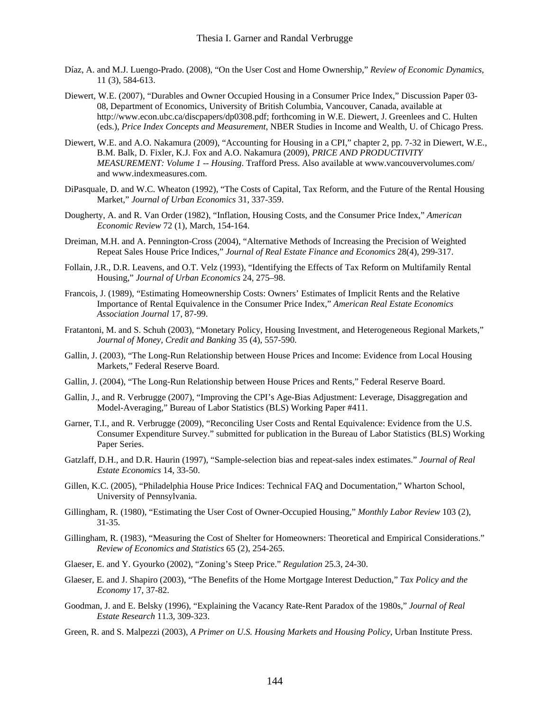- Díaz, A. and M.J. Luengo-Prado. (2008), "On the User Cost and Home Ownership," *Review of Economic Dynamics*, 11 (3), 584-613.
- Diewert, W.E. (2007), "Durables and Owner Occupied Housing in a Consumer Price Index," Discussion Paper 03- 08, Department of Economics, University of British Columbia, Vancouver, Canada, available at http://www.econ.ubc.ca/discpapers/dp0308.pdf; forthcoming in W.E. Diewert, J. Greenlees and C. Hulten (eds.), *Price Index Concepts and Measurement,* NBER Studies in Income and Wealth, U. of Chicago Press.
- Diewert, W.E. and A.O. Nakamura (2009), "Accounting for Housing in a CPI," chapter 2, pp. 7-32 in Diewert, W.E., B.M. Balk, D. Fixler, K.J. Fox and A.O. Nakamura (2009), *PRICE AND PRODUCTIVITY MEASUREMENT: Volume 1 -- Housing*. Trafford Press. Also available at [www.vancouvervolumes.com/](http://www.vancouvervolumes.com/) and [www.indexmeasures.com](http://www.vancouvervolumes.com/).
- DiPasquale, D. and W.C. Wheaton (1992), "The Costs of Capital, Tax Reform, and the Future of the Rental Housing Market," *Journal of Urban Economics* 31, 337-359.
- Dougherty, A. and R. Van Order (1982), "Inflation, Housing Costs, and the Consumer Price Index," *American Economic Review* 72 (1), March, 154-164.
- Dreiman, M.H. and A. Pennington-Cross (2004), "Alternative Methods of Increasing the Precision of Weighted Repeat Sales House Price Indices," *Journal of Real Estate Finance and Economics* 28(4), 299-317.
- Follain, J.R., D.R. Leavens, and O.T. Velz (1993), "Identifying the Effects of Tax Reform on Multifamily Rental Housing," *Journal of Urban Economics* 24, 275–98.
- Francois, J. (1989), "Estimating Homeownership Costs: Owners' Estimates of Implicit Rents and the Relative Importance of Rental Equivalence in the Consumer Price Index," *American Real Estate Economics Association Journal* 17, 87-99.
- Fratantoni, M. and S. Schuh (2003), "Monetary Policy, Housing Investment, and Heterogeneous Regional Markets," *Journal of Money, Credit and Banking* 35 (4), 557-590.
- Gallin, J. (2003), "The Long-Run Relationship between House Prices and Income: Evidence from Local Housing Markets," Federal Reserve Board.
- Gallin, J. (2004), "The Long-Run Relationship between House Prices and Rents," Federal Reserve Board.
- Gallin, J., and R. Verbrugge (2007), "Improving the CPI's Age-Bias Adjustment: Leverage, Disaggregation and Model-Averaging," Bureau of Labor Statistics (BLS) Working Paper #411.
- Garner, T.I., and R. Verbrugge (2009), "Reconciling User Costs and Rental Equivalence: Evidence from the U.S. Consumer Expenditure Survey." submitted for publication in the Bureau of Labor Statistics (BLS) Working Paper Series.
- Gatzlaff, D.H., and D.R. Haurin (1997), "Sample-selection bias and repeat-sales index estimates." *Journal of Real Estate Economics* 14, 33-50.
- Gillen, K.C. (2005), "Philadelphia House Price Indices: Technical FAQ and Documentation," Wharton School, University of Pennsylvania.
- Gillingham, R. (1980), "Estimating the User Cost of Owner-Occupied Housing," *Monthly Labor Review* 103 (2), 31-35.
- Gillingham, R. (1983), "Measuring the Cost of Shelter for Homeowners: Theoretical and Empirical Considerations." *Review of Economics and Statistics* 65 (2), 254-265.
- Glaeser, E. and Y. Gyourko (2002), "Zoning's Steep Price." *Regulation* 25.3, 24-30.
- Glaeser, E. and J. Shapiro (2003), "The Benefits of the Home Mortgage Interest Deduction," *Tax Policy and the Economy* 17, 37-82.
- Goodman, J. and E. Belsky (1996), "Explaining the Vacancy Rate-Rent Paradox of the 1980s," *Journal of Real Estate Research* 11.3, 309-323.
- Green, R. and S. Malpezzi (2003), *A Primer on U.S. Housing Markets and Housing Policy*, Urban Institute Press.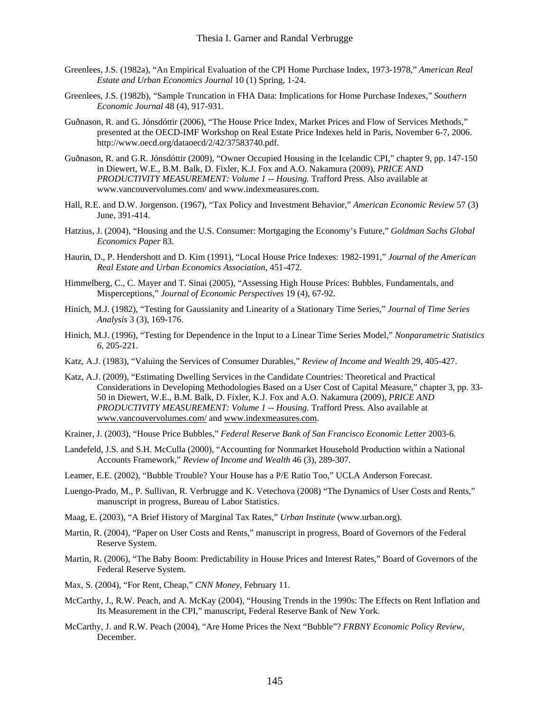- Greenlees, J.S. (1982a), "An Empirical Evaluation of the CPI Home Purchase Index, 1973-1978," *American Real Estate and Urban Economics Journal* 10 (1) Spring, 1-24.
- Greenlees, J.S. (1982b), "Sample Truncation in FHA Data: Implications for Home Purchase Indexes," *Southern Economic Journal* 48 (4), 917-931.
- Guðnason, R. and G. Jónsdóttir (2006), "The House Price Index, Market Prices and Flow of Services Methods," presented at the OECD-IMF Workshop on Real Estate Price Indexes held in Paris, November 6-7, 2006. http://www.oecd.org/dataoecd/2/42/37583740.pdf.
- Guðnason, R. and G.R. Jónsdóttir (2009), "Owner Occupied Housing in the Icelandic CPI," chapter 9, pp. 147-150 in Diewert, W.E., B.M. Balk, D. Fixler, K.J. Fox and A.O. Nakamura (2009), *PRICE AND PRODUCTIVITY MEASUREMENT: Volume 1 -- Housing*. Trafford Press. Also available at [www.vancouvervolumes.com/ and www.indexmeasures.com.](http://www.vancouvervolumes.com/)
- Hall, R.E. and D.W. Jorgenson. (1967), "Tax Policy and Investment Behavior," *American Economic Review* 57 (3) June, 391-414.
- Hatzius, J. (2004), "Housing and the U.S. Consumer: Mortgaging the Economy's Future," *Goldman Sachs Global Economics Paper* 83.
- Haurin, D., P. Hendershott and D. Kim (1991), "Local House Price Indexes: 1982-1991," *Journal of the American Real Estate and Urban Economics Association*, 451-472.
- Himmelberg, C., C. Mayer and T. Sinai (2005), "Assessing High House Prices: Bubbles, Fundamentals, and Misperceptions," *Journal of Economic Perspectives* 19 (4), 67-92.
- Hinich, M.J. (1982), "Testing for Gaussianity and Linearity of a Stationary Time Series," *Journal of Time Series Analysis* 3 (3), 169-176.
- Hinich, M.J. (1996), "Testing for Dependence in the Input to a Linear Time Series Model," *Nonparametric Statistics 6*, 205-221.
- Katz, A.J. (1983), "Valuing the Services of Consumer Durables," *Review of Income and Wealth* 29, 405-427.
- Katz, A.J. (2009), "Estimating Dwelling Services in the Candidate Countries: Theoretical and Practical Considerations in Developing Methodologies Based on a User Cost of Capital Measure," chapter 3, pp. 33- 50 in Diewert, W.E., B.M. Balk, D. Fixler, K.J. Fox and A.O. Nakamura (2009), *PRICE AND PRODUCTIVITY MEASUREMENT: Volume 1 -- Housing*. Trafford Press. Also available at [www.vancouvervolumes.com/ and www.indexmeasures.com.](http://www.vancouvervolumes.com/)
- Krainer, J. (2003), "House Price Bubbles," *Federal Reserve Bank of San Francisco Economic Letter* 2003-6.
- Landefeld, J.S. and S.H. McCulla (2000), "Accounting for Nonmarket Household Production within a National Accounts Framework," *Review of Income and Wealth* 46 (3), 289-307.
- Leamer, E.E. (2002), "Bubble Trouble? Your House has a P/E Ratio Too," UCLA Anderson Forecast.
- Luengo-Prado, M., P. Sullivan, R. Verbrugge and K. Vetechova (2008) "The Dynamics of User Costs and Rents," manuscript in progress, Bureau of Labor Statistics.
- Maag, E. (2003), "A Brief History of Marginal Tax Rates," *Urban Institute* (www.urban.org).
- Martin, R. (2004), "Paper on User Costs and Rents," manuscript in progress, Board of Governors of the Federal Reserve System.
- Martin, R. (2006), "The Baby Boom: Predictability in House Prices and Interest Rates," Board of Governors of the Federal Reserve System.
- Max, S. (2004), "For Rent, Cheap," *CNN Money*, February 11.
- McCarthy, J., R.W. Peach, and A. McKay (2004), "Housing Trends in the 1990s: The Effects on Rent Inflation and Its Measurement in the CPI," manuscript, Federal Reserve Bank of New York.
- McCarthy, J. and R.W. Peach (2004), "Are Home Prices the Next "Bubble"? *FRBNY Economic Policy Review*, December.